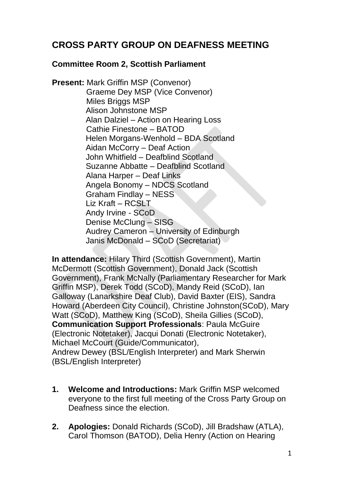## **CROSS PARTY GROUP ON DEAFNESS MEETING**

## **Committee Room 2, Scottish Parliament**

**Present:** Mark Griffin MSP (Convenor) Graeme Dey MSP (Vice Convenor) Miles Briggs MSP Alison Johnstone MSP Alan Dalziel – Action on Hearing Loss Cathie Finestone – BATOD Helen Morgans-Wenhold – BDA Scotland Aidan McCorry – Deaf Action John Whitfield – Deafblind Scotland Suzanne Abbatte – Deafblind Scotland Alana Harper – Deaf Links Angela Bonomy – NDCS Scotland Graham Findlay – NESS Liz Kraft – RCSLT Andy Irvine - SCoD Denise McClung – SISG Audrey Cameron – University of Edinburgh Janis McDonald – SCoD (Secretariat)

**In attendance:** Hilary Third (Scottish Government), Martin McDermott (Scottish Government), Donald Jack (Scottish Government), Frank McNally (Parliamentary Researcher for Mark Griffin MSP), Derek Todd (SCoD), Mandy Reid (SCoD), Ian Galloway (Lanarkshire Deaf Club), David Baxter (EIS), Sandra Howard (Aberdeen City Council), Christine Johnston(SCoD), Mary Watt (SCoD), Matthew King (SCoD), Sheila Gillies (SCoD), **Communication Support Professionals**: Paula McGuire (Electronic Notetaker), Jacqui Donati (Electronic Notetaker), Michael McCourt (Guide/Communicator), Andrew Dewey (BSL/English Interpreter) and Mark Sherwin (BSL/English Interpreter)

- **1. Welcome and Introductions:** Mark Griffin MSP welcomed everyone to the first full meeting of the Cross Party Group on Deafness since the election.
- **2. Apologies:** Donald Richards (SCoD), Jill Bradshaw (ATLA), Carol Thomson (BATOD), Delia Henry (Action on Hearing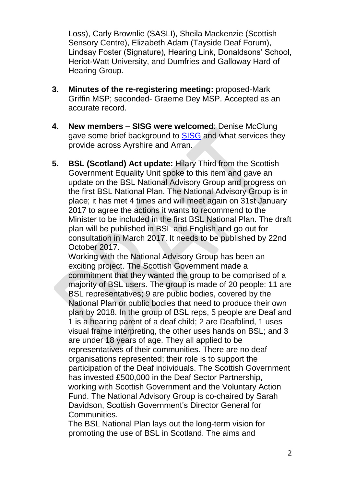Loss), Carly Brownlie (SASLI), Sheila Mackenzie (Scottish Sensory Centre), Elizabeth Adam (Tayside Deaf Forum), Lindsay Foster (Signature), Hearing Link, Donaldsons' School, Heriot-Watt University, and Dumfries and Galloway Hard of Hearing Group.

- **3. Minutes of the re-registering meeting:** proposed-Mark Griffin MSP; seconded- Graeme Dey MSP. Accepted as an accurate record.
- **4. New members – SISG were welcomed**: Denise McClung gave some brief background to [SISG](http://www.sisg.co.uk/) and what services they provide across Ayrshire and Arran.
- **5. BSL (Scotland) Act update:** Hilary Third from the Scottish Government Equality Unit spoke to this item and gave an update on the BSL National Advisory Group and progress on the first BSL National Plan. The National Advisory Group is in place; it has met 4 times and will meet again on 31st January 2017 to agree the actions it wants to recommend to the Minister to be included in the first BSL National Plan. The draft plan will be published in BSL and English and go out for consultation in March 2017. It needs to be published by 22nd October 2017.

Working with the National Advisory Group has been an exciting project. The Scottish Government made a commitment that they wanted the group to be comprised of a majority of BSL users. The group is made of 20 people: 11 are BSL representatives; 9 are public bodies, covered by the National Plan or public bodies that need to produce their own plan by 2018. In the group of BSL reps, 5 people are Deaf and 1 is a hearing parent of a deaf child; 2 are Deafblind, 1 uses visual frame interpreting, the other uses hands on BSL; and 3 are under 18 years of age. They all applied to be representatives of their communities. There are no deaf organisations represented; their role is to support the participation of the Deaf individuals. The Scottish Government has invested £500,000 in the Deaf Sector Partnership, working with Scottish Government and the Voluntary Action Fund. The National Advisory Group is co-chaired by Sarah Davidson, Scottish Government's Director General for Communities.

The BSL National Plan lays out the long-term vision for promoting the use of BSL in Scotland. The aims and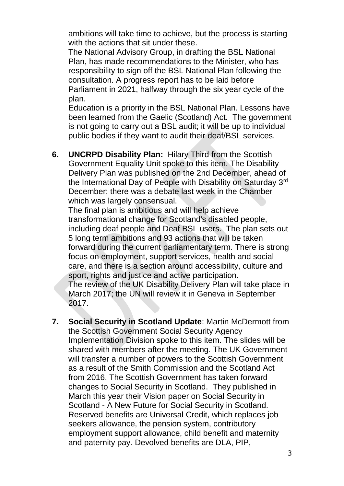ambitions will take time to achieve, but the process is starting with the actions that sit under these.

The National Advisory Group, in drafting the BSL National Plan, has made recommendations to the Minister, who has responsibility to sign off the BSL National Plan following the consultation. A progress report has to be laid before Parliament in 2021, halfway through the six year cycle of the plan.

Education is a priority in the BSL National Plan. Lessons have been learned from the Gaelic (Scotland) Act. The government is not going to carry out a BSL audit; it will be up to individual public bodies if they want to audit their deaf/BSL services.

**6. UNCRPD Disability Plan:** Hilary Third from the Scottish Government Equality Unit spoke to this item. The Disability Delivery Plan was published on the 2nd December, ahead of the International Day of People with Disability on Saturday 3rd December; there was a debate last week in the Chamber which was largely consensual.

The final plan is ambitious and will help achieve transformational change for Scotland's disabled people, including deaf people and Deaf BSL users. The plan sets out 5 long term ambitions and 93 actions that will be taken forward during the current parliamentary term. There is strong focus on employment, support services, health and social care, and there is a section around accessibility, culture and sport, rights and justice and active participation. The review of the UK Disability Delivery Plan will take place in March 2017; the UN will review it in Geneva in September 2017.

**7. Social Security in Scotland Update**: Martin McDermott from the Scottish Government Social Security Agency Implementation Division spoke to this item. The slides will be shared with members after the meeting. The UK Government will transfer a number of powers to the Scottish Government as a result of the Smith Commission and the Scotland Act from 2016. The Scottish Government has taken forward changes to Social Security in Scotland. They published in March this year their Vision paper on Social Security in Scotland - A New Future for Social Security in Scotland. Reserved benefits are Universal Credit, which replaces job seekers allowance, the pension system, contributory employment support allowance, child benefit and maternity and paternity pay. Devolved benefits are DLA, PIP,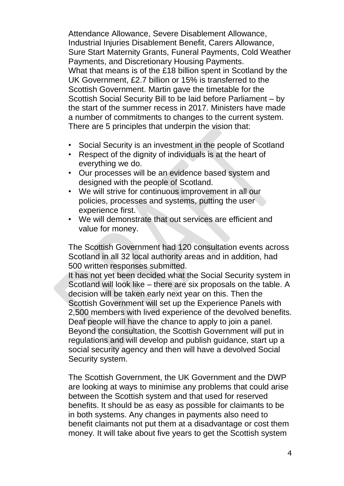Attendance Allowance, Severe Disablement Allowance, Industrial Injuries Disablement Benefit, Carers Allowance, Sure Start Maternity Grants, Funeral Payments, Cold Weather Payments, and Discretionary Housing Payments. What that means is of the £18 billion spent in Scotland by the UK Government, £2.7 billion or 15% is transferred to the Scottish Government. Martin gave the timetable for the Scottish Social Security Bill to be laid before Parliament – by the start of the summer recess in 2017. Ministers have made a number of commitments to changes to the current system. There are 5 principles that underpin the vision that:

- Social Security is an investment in the people of Scotland
- Respect of the dignity of individuals is at the heart of everything we do.
- Our processes will be an evidence based system and designed with the people of Scotland.
- We will strive for continuous improvement in all our policies, processes and systems, putting the user experience first.
- We will demonstrate that out services are efficient and value for money.

The Scottish Government had 120 consultation events across Scotland in all 32 local authority areas and in addition, had 500 written responses submitted.

It has not yet been decided what the Social Security system in Scotland will look like – there are six proposals on the table. A decision will be taken early next year on this. Then the Scottish Government will set up the Experience Panels with 2,500 members with lived experience of the devolved benefits. Deaf people will have the chance to apply to join a panel. Beyond the consultation, the Scottish Government will put in regulations and will develop and publish guidance, start up a social security agency and then will have a devolved Social Security system.

The Scottish Government, the UK Government and the DWP are looking at ways to minimise any problems that could arise between the Scottish system and that used for reserved benefits. It should be as easy as possible for claimants to be in both systems. Any changes in payments also need to benefit claimants not put them at a disadvantage or cost them money. It will take about five years to get the Scottish system